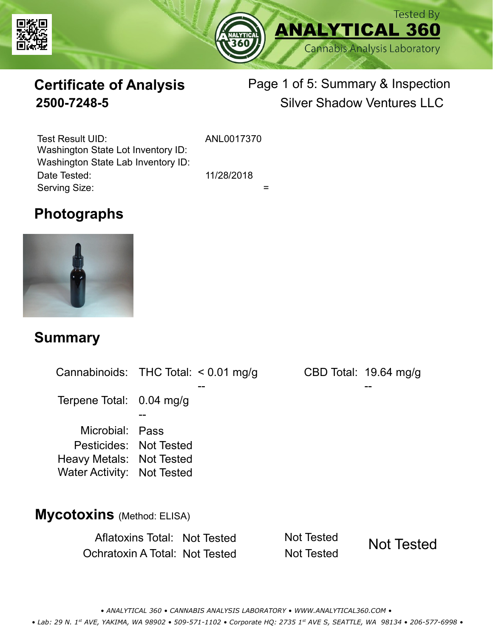



# **Certificate of Analysis**

# Page 1 of 5: Summary & Inspection **2500-7248-5** Silver Shadow Ventures LLC

Serving Size:  $=$ Test Result UID: ANL0017370 Date Tested: 11/28/2018 Washington State Lot Inventory ID: Washington State Lab Inventory ID:

### **Photographs**



#### **Summary**

Cannabinoids: THC Total:  $< 0.01$  mg/g Terpene Total: 0.04 mg/g Microbial: Pass CBD Total: 19.64 mg/g Pesticides: Not Tested Heavy Metals: Not Tested -- -- -- Water Activity: Not Tested **Mycotoxins** (Method: ELISA)

> Aflatoxins Total: Not Tested Not Tested Ochratoxin A Total: Not Tested Not Tested Not Tested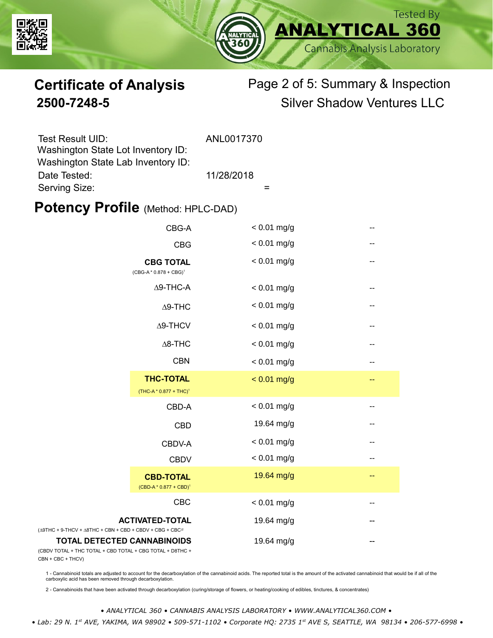



# **Certificate of Analysis** Page 2 of 5: Summary & Inspection **2500-7248-5** Silver Shadow Ventures LLC

| Test Result UID:                   | ANL0017370 |
|------------------------------------|------------|
| Washington State Lot Inventory ID: |            |
| Washington State Lab Inventory ID: |            |
| Date Tested:                       | 11/28/2018 |
| Serving Size:                      |            |

#### **Potency Profile (Method: HPLC-DAD)**

|                                                                                           | CBG-A                                                  | $< 0.01$ mg/g | -- |
|-------------------------------------------------------------------------------------------|--------------------------------------------------------|---------------|----|
|                                                                                           | <b>CBG</b>                                             | $< 0.01$ mg/g | -- |
|                                                                                           | <b>CBG TOTAL</b><br>$(CBG-A * 0.878 + CBG)^1$          | $< 0.01$ mg/g | -- |
|                                                                                           | $\Delta$ 9-THC-A                                       | $< 0.01$ mg/g | -- |
|                                                                                           | $\Delta$ 9-THC                                         | $< 0.01$ mg/g | -- |
|                                                                                           | $\Delta$ 9-THCV                                        | $< 0.01$ mg/g | -- |
|                                                                                           | $\Delta$ 8-THC                                         | $< 0.01$ mg/g | -- |
|                                                                                           | <b>CBN</b>                                             | $< 0.01$ mg/g | -- |
|                                                                                           | <b>THC-TOTAL</b><br>(THC-A * 0.877 + THC) <sup>1</sup> | $< 0.01$ mg/g | -- |
|                                                                                           | CBD-A                                                  | $< 0.01$ mg/g | -- |
|                                                                                           | <b>CBD</b>                                             | 19.64 mg/g    | -- |
|                                                                                           | CBDV-A                                                 | $< 0.01$ mg/g | -- |
|                                                                                           | <b>CBDV</b>                                            | $< 0.01$ mg/g | -- |
|                                                                                           | <b>CBD-TOTAL</b><br>$(CBD-A * 0.877 + CBD)^1$          | 19.64 mg/g    | -- |
|                                                                                           | <b>CBC</b>                                             | $< 0.01$ mg/g | -- |
| + 9-THCV + $\triangle$ 8THC + CBN + CBD + CBDV + CBG + CBC <sup><math>/2</math></sup>     | <b>ACTIVATED-TOTAL</b>                                 | 19.64 mg/g    |    |
| <b>TOTAL DETECTED CANNABINOIDS</b><br>TOTAL + THC TOTAL + CBD TOTAL + CBG TOTAL + D8THC + |                                                        | 19.64 mg/g    |    |

(CBDV TOTAL + THC TOTAL CBN + CBC + THCV)

(∆9THC + 9-THCV + ∆8THC

1 - Cannabinoid totals are adjusted to account for the decarboxylation of the cannabinoid acids. The reported total is the amount of the activated cannabinoid that would be if all of the<br>carboxylic acid has been removed th

2 - Cannabinoids that have been activated through decarboxylation (curing/storage of flowers, or heating/cooking of edibles, tinctures, & concentrates)

*• ANALYTICAL 360 • CANNABIS ANALYSIS LABORATORY • WWW.ANALYTICAL360.COM • • Lab: 29 N. 1st AVE, YAKIMA, WA 98902 • 509-571-1102 • Corporate HQ: 2735 1st AVE S, SEATTLE, WA 98134 • 206-577-6998 •*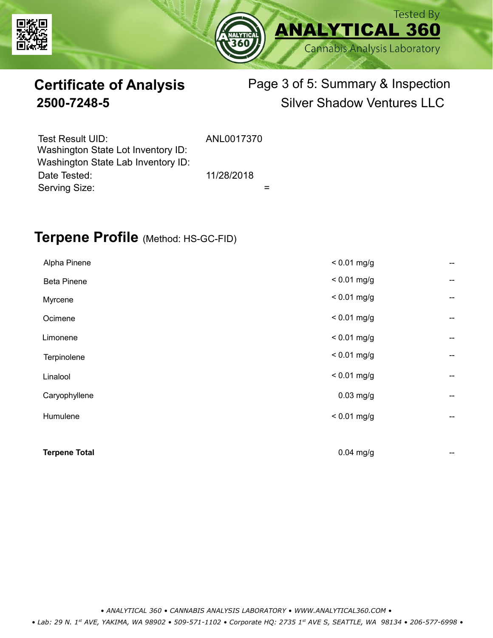



# **Certificate of Analysis** Page 3 of 5: Summary & Inspection **2500-7248-5** Silver Shadow Ventures LLC

| Test Result UID:<br>Washington State Lot Inventory ID: | ANL0017370 |  |
|--------------------------------------------------------|------------|--|
| Washington State Lab Inventory ID:                     |            |  |
| Date Tested:                                           | 11/28/2018 |  |
| Serving Size:                                          |            |  |

### **Terpene Profile** (Method: HS-GC-FID)

| <b>Terpene Total</b> | $0.04$ mg/g   | --                                    |
|----------------------|---------------|---------------------------------------|
|                      |               |                                       |
| Humulene             | $< 0.01$ mg/g | --                                    |
| Caryophyllene        | $0.03$ mg/g   | --                                    |
| Linalool             | $< 0.01$ mg/g | $\overline{\phantom{a}}$              |
| Terpinolene          | $< 0.01$ mg/g | --                                    |
| Limonene             | $< 0.01$ mg/g | --                                    |
| Ocimene              | $< 0.01$ mg/g | --                                    |
| Myrcene              | $< 0.01$ mg/g | $\hspace{0.05cm}$ – $\hspace{0.05cm}$ |
| <b>Beta Pinene</b>   | $< 0.01$ mg/g | --                                    |
| Alpha Pinene         | $< 0.01$ mg/g | --                                    |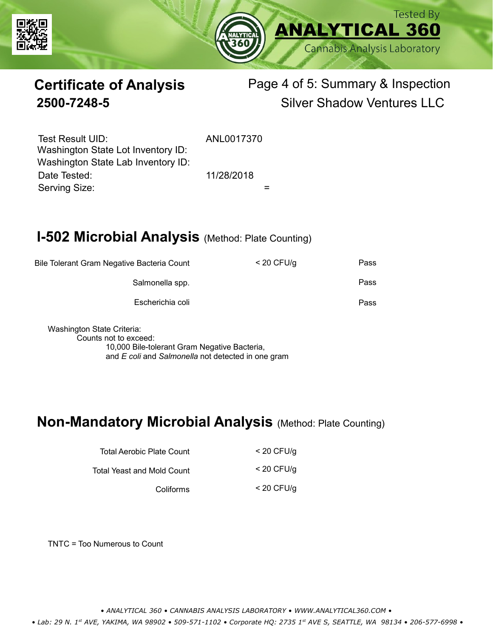



# **Certificate of Analysis** Page 4 of 5: Summary & Inspection **2500-7248-5** Silver Shadow Ventures LLC

Serving Size:  $=$ Test Result UID: ANL0017370 Date Tested: 11/28/2018 Washington State Lot Inventory ID: Washington State Lab Inventory ID:

# **I-502 Microbial Analysis (Method: Plate Counting)**

| Pass | $<$ 20 CFU/g | Bile Tolerant Gram Negative Bacteria Count |
|------|--------------|--------------------------------------------|
| Pass |              | Salmonella spp.                            |
| Pass |              | Escherichia coli                           |
|      |              |                                            |

Washington State Criteria: Counts not to exceed: 10,000 Bile-tolerant Gram Negative Bacteria, and *E coli* and *Salmonella* not detected in one gram

#### **Non-Mandatory Microbial Analysis** (Method: Plate Counting)

| Total Aerobic Plate Count  | $<$ 20 CFU/g |
|----------------------------|--------------|
| Total Yeast and Mold Count | $<$ 20 CFU/a |
| Coliforms                  | $<$ 20 CFU/g |

TNTC = Too Numerous to Count

*• ANALYTICAL 360 • CANNABIS ANALYSIS LABORATORY • WWW.ANALYTICAL360.COM •*